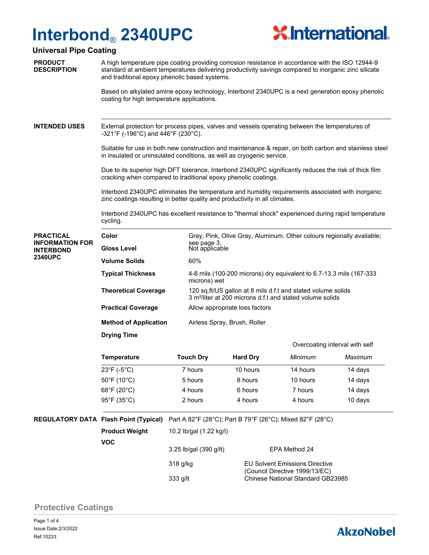# **Interbond**® **2340UPC**



Overcoating interval with self

### **Universal Pipe Coating**

**PRODUCT DESCRIPTION** A high temperature pipe coating providing corrosion resistance in accordance with the ISO 12944-9 standard at ambient temperatures delivering productivity savings compared to inorganic zinc silicate and traditional epoxy phenolic based systems.

Based on alkylated amine epoxy technology, Interbond 2340UPC is a next generation epoxy phenolic coating for high temperature applications.

External protection for process pipes, valves and vessels operating between the temperatures of -321°F (-196°C) and 446°F (230°C). **INTENDED USES**

> Suitable for use in both new construction and maintenance & repair, on both carbon and stainless steel in insulated or uninsulated conditions, as well as cryogenic service.

Due to its superior high DFT tolerance, Interbond 2340UPC significantly reduces the risk of thick film cracking when compared to traditional epoxy phenolic coatings.

Interbond 2340UPC eliminates the temperature and humidity requirements associated with inorganic zinc coatings resulting in better quality and productivity in all climates.

Interbond 2340UPC has excellent resistance to "thermal shock" experienced during rapid temperature cycling.

#### **PRACTICAL INFORMATION FOR INTERBOND 2340UPC**

| Color<br><b>Gloss Level</b>  | Gray, Pink, Olive Gray, Aluminum. Other colours regionally available:<br>see page 3.<br>Not applicable                                |
|------------------------------|---------------------------------------------------------------------------------------------------------------------------------------|
| <b>Volume Solids</b>         | 60%                                                                                                                                   |
| <b>Typical Thickness</b>     | 4-8 mils (100-200 microns) dry equivalent to 6.7-13.3 mils (167-333<br>microns) wet                                                   |
| <b>Theoretical Coverage</b>  | 120 sq.ft/US gallon at 8 mils d.f.t and stated volume solids<br>3 m <sup>2</sup> /liter at 200 microns d.f.t and stated volume solids |
| <b>Practical Coverage</b>    | Allow appropriate loss factors                                                                                                        |
| <b>Method of Application</b> | Airless Spray, Brush, Roller                                                                                                          |
| <b>Drying Time</b>           |                                                                                                                                       |

**Temperature Touch Dry Hard Dry** *Minimum Maximum* 23°F (-5°C) 7 hours 10 hours 14 hours 14 days 50°F (10°C) 5 hours 8 hours 10 hours 14 days 68°F (20°C) 4 hours 6 hours 7 hours 14 days 95°F (35°C) 2 hours 4 hours 4 hours 4 hours 4 hours 4 hours 4 hours 4 hours 4 hours 4 hours 4 hours 4 hours 4 hours 4 hours 4 hours 4 hours 4 hours 4 hours 4 hours 4 hours 4 hours 4 hours 4 hours 4 hours 4 hours 4 hours 4

**REGULATORY DATA Flash Point (Typical)** Part A 82°F (28°C); Part B 79°F (26°C); Mixed 82°F (28°C)

| <b>Product Weight</b><br><b>VOC</b> | 10.2 lb/gal (1.22 kg/l) |                                                                         |  |  |  |
|-------------------------------------|-------------------------|-------------------------------------------------------------------------|--|--|--|
|                                     | 3.25 lb/gal (390 g/lt)  | EPA Method 24                                                           |  |  |  |
|                                     | 318 g/kg                | <b>EU Solvent Emissions Directive</b><br>(Council Directive 1999/13/EC) |  |  |  |
|                                     | 333 g/lt                | <b>Chinese National Standard GB23985</b>                                |  |  |  |

## **Protective Coatings**

# **AkzoNobel**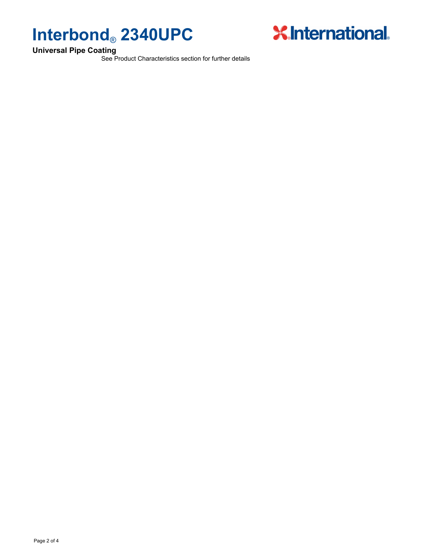



See Product Characteristics section for further details

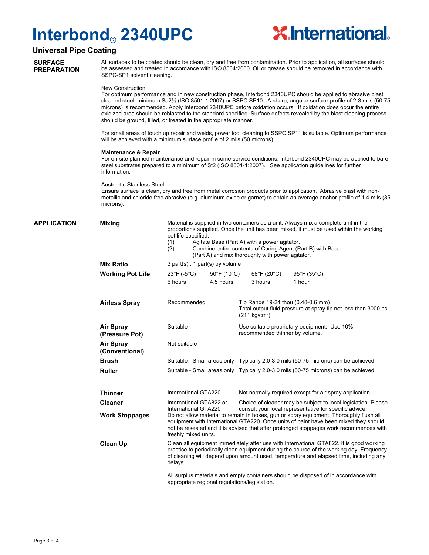# **Interbond**® **2340UPC**



### **Universal Pipe Coating**

**SURFACE PREPARATION**

APP

All surfaces to be coated should be clean, dry and free from contamination. Prior to application, all surfaces should be assessed and treated in accordance with ISO 8504:2000. Oil or grease should be removed in accordance with SSPC-SP1 solvent cleaning.

#### New Construction

For optimum performance and in new construction phase, Interbond 2340UPC should be applied to abrasive blast cleaned steel, minimum Sa2½ (ISO 8501-1:2007) or SSPC SP10. A sharp, angular surface profile of 2-3 mils (50-75 microns) is recommended. Apply Interbond 2340UPC before oxidation occurs. If oxidation does occur the entire oxidized area should be reblasted to the standard specified. Surface defects revealed by the blast cleaning process should be ground, filled, or treated in the appropriate manner.

For small areas of touch up repair and welds, power tool cleaning to SSPC SP11 is suitable. Optimum performance will be achieved with a minimum surface profile of 2 mils (50 microns).

#### **Maintenance & Repair**

For on-site planned maintenance and repair in some service conditions, Interbond 2340UPC may be applied to bare steel substrates prepared to a minimum of St2 (ISO 8501-1:2007). See application guidelines for further information.

#### Austenitic Stainless Steel

Ensure surface is clean, dry and free from metal corrosion products prior to application. Abrasive blast with nonmetallic and chloride free abrasive (e.g. aluminum oxide or garnet) to obtain an average anchor profile of 1.4 mils (35 microns).

| <b>LICATION</b>                    | <b>Mixing</b>                      | Material is supplied in two containers as a unit. Always mix a complete unit in the<br>proportions supplied. Once the unit has been mixed, it must be used within the working<br>pot life specified.<br>Agitate Base (Part A) with a power agitator.<br>(1)<br>Combine entire contents of Curing Agent (Part B) with Base<br>(2)<br>(Part A) and mix thoroughly with power agitator. |                                                                                                                                                                                                                                                                                                                                                                                    |                                                                                                                                  |                                                                                    |  |  |
|------------------------------------|------------------------------------|--------------------------------------------------------------------------------------------------------------------------------------------------------------------------------------------------------------------------------------------------------------------------------------------------------------------------------------------------------------------------------------|------------------------------------------------------------------------------------------------------------------------------------------------------------------------------------------------------------------------------------------------------------------------------------------------------------------------------------------------------------------------------------|----------------------------------------------------------------------------------------------------------------------------------|------------------------------------------------------------------------------------|--|--|
|                                    | <b>Mix Ratio</b>                   | $3$ part(s) : 1 part(s) by volume                                                                                                                                                                                                                                                                                                                                                    |                                                                                                                                                                                                                                                                                                                                                                                    |                                                                                                                                  |                                                                                    |  |  |
|                                    | <b>Working Pot Life</b>            | $23^{\circ}$ F (-5 $^{\circ}$ C)<br>$50^{\circ}$ F (10 $^{\circ}$ C)                                                                                                                                                                                                                                                                                                                 |                                                                                                                                                                                                                                                                                                                                                                                    | $68^{\circ}$ F (20 $^{\circ}$ C)                                                                                                 | $95^{\circ}$ F (35 $^{\circ}$ C)                                                   |  |  |
|                                    |                                    | 6 hours                                                                                                                                                                                                                                                                                                                                                                              | 4.5 hours                                                                                                                                                                                                                                                                                                                                                                          | 3 hours                                                                                                                          | 1 hour                                                                             |  |  |
|                                    | <b>Airless Spray</b>               | Recommended                                                                                                                                                                                                                                                                                                                                                                          |                                                                                                                                                                                                                                                                                                                                                                                    | Tip Range 19-24 thou (0.48-0.6 mm)<br>Total output fluid pressure at spray tip not less than 3000 psi<br>$(211 \text{ kg/cm}^2)$ |                                                                                    |  |  |
| <b>Air Spray</b><br>(Pressure Pot) |                                    | Suitable                                                                                                                                                                                                                                                                                                                                                                             |                                                                                                                                                                                                                                                                                                                                                                                    | Use suitable proprietary equipment Use 10%<br>recommended thinner by volume.                                                     |                                                                                    |  |  |
|                                    | <b>Air Spray</b><br>(Conventional) | Not suitable                                                                                                                                                                                                                                                                                                                                                                         |                                                                                                                                                                                                                                                                                                                                                                                    |                                                                                                                                  |                                                                                    |  |  |
|                                    | <b>Brush</b>                       |                                                                                                                                                                                                                                                                                                                                                                                      |                                                                                                                                                                                                                                                                                                                                                                                    | Suitable - Small areas only Typically 2.0-3.0 mils (50-75 microns) can be achieved                                               |                                                                                    |  |  |
|                                    | <b>Roller</b>                      |                                                                                                                                                                                                                                                                                                                                                                                      |                                                                                                                                                                                                                                                                                                                                                                                    |                                                                                                                                  | Suitable - Small areas only Typically 2.0-3.0 mils (50-75 microns) can be achieved |  |  |
| <b>Thinner</b>                     |                                    | International GTA220                                                                                                                                                                                                                                                                                                                                                                 |                                                                                                                                                                                                                                                                                                                                                                                    | Not normally required except for air spray application.                                                                          |                                                                                    |  |  |
|                                    | <b>Cleaner</b>                     | International GTA822 or                                                                                                                                                                                                                                                                                                                                                              |                                                                                                                                                                                                                                                                                                                                                                                    | Choice of cleaner may be subject to local legislation. Please                                                                    |                                                                                    |  |  |
|                                    | <b>Work Stoppages</b>              |                                                                                                                                                                                                                                                                                                                                                                                      | consult your local representative for specific advice.<br>International GTA220<br>Do not allow material to remain in hoses, gun or spray equipment. Thoroughly flush all<br>equipment with International GTA220. Once units of paint have been mixed they should<br>not be resealed and it is advised that after prolonged stoppages work recommences with<br>freshly mixed units. |                                                                                                                                  |                                                                                    |  |  |
|                                    | <b>Clean Up</b>                    | Clean all equipment immediately after use with International GTA822. It is good working<br>practice to periodically clean equipment during the course of the working day. Frequency<br>of cleaning will depend upon amount used, temperature and elapsed time, including any<br>delays.                                                                                              |                                                                                                                                                                                                                                                                                                                                                                                    |                                                                                                                                  |                                                                                    |  |  |
|                                    |                                    | All surplus materials and empty containers should be disposed of in accordance with<br>appropriate regional regulations/legislation.                                                                                                                                                                                                                                                 |                                                                                                                                                                                                                                                                                                                                                                                    |                                                                                                                                  |                                                                                    |  |  |